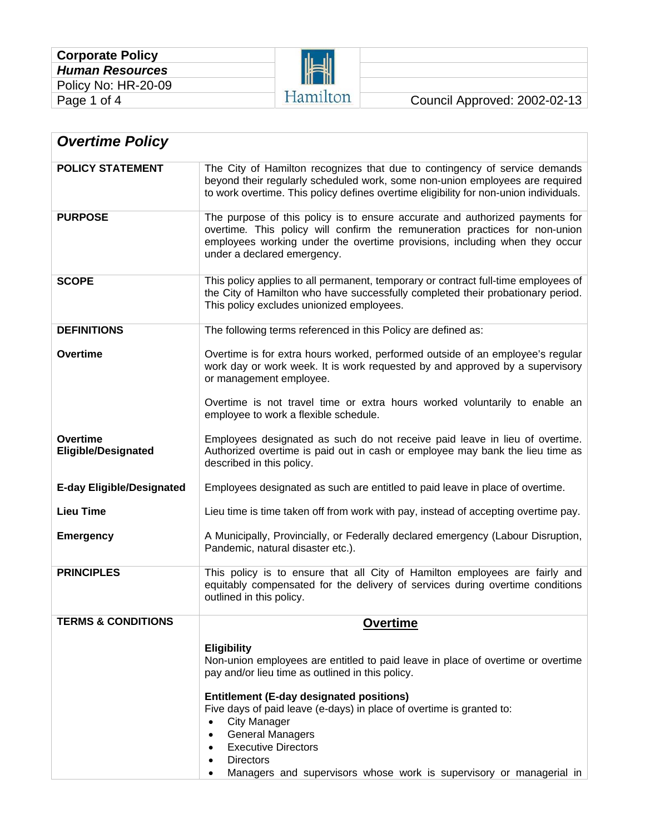| <b>Corporate Policy</b> |  |  |  |  |
|-------------------------|--|--|--|--|
| <b>Human Resources</b>  |  |  |  |  |
| Policy No: HR-20-09     |  |  |  |  |
| Page 1 of 4             |  |  |  |  |



| <b>Overtime Policy</b>                        |                                                                                                                                                                                                                                                                                                                                                                                                             |  |  |  |  |
|-----------------------------------------------|-------------------------------------------------------------------------------------------------------------------------------------------------------------------------------------------------------------------------------------------------------------------------------------------------------------------------------------------------------------------------------------------------------------|--|--|--|--|
| <b>POLICY STATEMENT</b>                       | The City of Hamilton recognizes that due to contingency of service demands<br>beyond their regularly scheduled work, some non-union employees are required<br>to work overtime. This policy defines overtime eligibility for non-union individuals.                                                                                                                                                         |  |  |  |  |
| <b>PURPOSE</b>                                | The purpose of this policy is to ensure accurate and authorized payments for<br>overtime. This policy will confirm the remuneration practices for non-union<br>employees working under the overtime provisions, including when they occur<br>under a declared emergency.                                                                                                                                    |  |  |  |  |
| <b>SCOPE</b>                                  | This policy applies to all permanent, temporary or contract full-time employees of<br>the City of Hamilton who have successfully completed their probationary period.<br>This policy excludes unionized employees.                                                                                                                                                                                          |  |  |  |  |
| <b>DEFINITIONS</b>                            | The following terms referenced in this Policy are defined as:                                                                                                                                                                                                                                                                                                                                               |  |  |  |  |
| <b>Overtime</b>                               | Overtime is for extra hours worked, performed outside of an employee's regular<br>work day or work week. It is work requested by and approved by a supervisory<br>or management employee.                                                                                                                                                                                                                   |  |  |  |  |
|                                               | Overtime is not travel time or extra hours worked voluntarily to enable an<br>employee to work a flexible schedule.                                                                                                                                                                                                                                                                                         |  |  |  |  |
| <b>Overtime</b><br><b>Eligible/Designated</b> | Employees designated as such do not receive paid leave in lieu of overtime.<br>Authorized overtime is paid out in cash or employee may bank the lieu time as<br>described in this policy.                                                                                                                                                                                                                   |  |  |  |  |
| <b>E-day Eligible/Designated</b>              | Employees designated as such are entitled to paid leave in place of overtime.                                                                                                                                                                                                                                                                                                                               |  |  |  |  |
| <b>Lieu Time</b>                              | Lieu time is time taken off from work with pay, instead of accepting overtime pay.                                                                                                                                                                                                                                                                                                                          |  |  |  |  |
| <b>Emergency</b>                              | A Municipally, Provincially, or Federally declared emergency (Labour Disruption,<br>Pandemic, natural disaster etc.).                                                                                                                                                                                                                                                                                       |  |  |  |  |
| <b>PRINCIPLES</b>                             | This policy is to ensure that all City of Hamilton employees are fairly and<br>equitably compensated for the delivery of services during overtime conditions<br>outlined in this policy.                                                                                                                                                                                                                    |  |  |  |  |
| <b>TERMS &amp; CONDITIONS</b>                 | <b>Overtime</b>                                                                                                                                                                                                                                                                                                                                                                                             |  |  |  |  |
|                                               | <b>Eligibility</b><br>Non-union employees are entitled to paid leave in place of overtime or overtime<br>pay and/or lieu time as outlined in this policy.<br><b>Entitlement (E-day designated positions)</b><br>Five days of paid leave (e-days) in place of overtime is granted to:<br><b>City Manager</b><br>$\bullet$<br><b>General Managers</b><br>$\bullet$<br><b>Executive Directors</b><br>$\bullet$ |  |  |  |  |
|                                               | <b>Directors</b><br>Managers and supervisors whose work is supervisory or managerial in                                                                                                                                                                                                                                                                                                                     |  |  |  |  |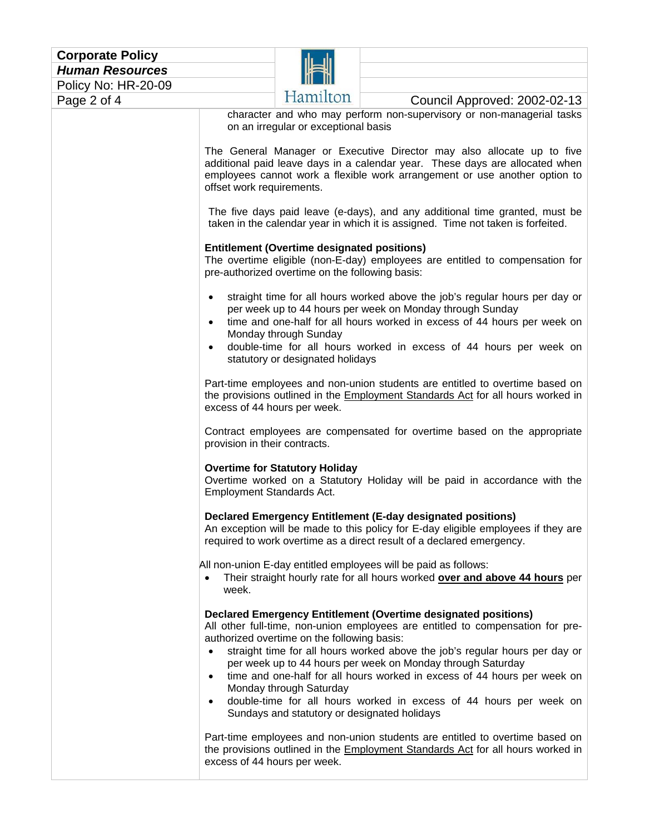| <b>Corporate Policy</b> |  |  |  |  |
|-------------------------|--|--|--|--|
| <b>Human Resources</b>  |  |  |  |  |
| Policy No: HR-20-09     |  |  |  |  |
| . <i>.</i>              |  |  |  |  |



# Page 2 of 4 Hamilton Council Approved: 2002-02-13

character and who may perform non-supervisory or non-managerial tasks on an irregular or exceptional basis

The General Manager or Executive Director may also allocate up to five additional paid leave days in a calendar year. These days are allocated when employees cannot work a flexible work arrangement or use another option to offset work requirements.

The five days paid leave (e-days), and any additional time granted, must be taken in the calendar year in which it is assigned. Time not taken is forfeited.

## **Entitlement (Overtime designated positions)**

The overtime eligible (non-E-day) employees are entitled to compensation for pre-authorized overtime on the following basis:

- straight time for all hours worked above the job's regular hours per day or per week up to 44 hours per week on Monday through Sunday
- time and one-half for all hours worked in excess of 44 hours per week on Monday through Sunday
- double-time for all hours worked in excess of 44 hours per week on statutory or designated holidays

Part-time employees and non-union students are entitled to overtime based on the provisions outlined in the Employment Standards Act for all hours worked in excess of 44 hours per week.

Contract employees are compensated for overtime based on the appropriate provision in their contracts.

#### **Overtime for Statutory Holiday**

Overtime worked on a Statutory Holiday will be paid in accordance with the Employment Standards Act.

#### **Declared Emergency Entitlement (E-day designated positions)**

An exception will be made to this policy for E-day eligible employees if they are required to work overtime as a direct result of a declared emergency.

All non-union E-day entitled employees will be paid as follows:

• Their straight hourly rate for all hours worked **over and above 44 hours** per week.

### **Declared Emergency Entitlement (Overtime designated positions)**

All other full-time, non-union employees are entitled to compensation for preauthorized overtime on the following basis:

- straight time for all hours worked above the job's regular hours per day or per week up to 44 hours per week on Monday through Saturday
- time and one-half for all hours worked in excess of 44 hours per week on Monday through Saturday
- double-time for all hours worked in excess of 44 hours per week on Sundays and statutory or designated holidays

Part-time employees and non-union students are entitled to overtime based on the provisions outlined in the Employment Standards Act for all hours worked in excess of 44 hours per week.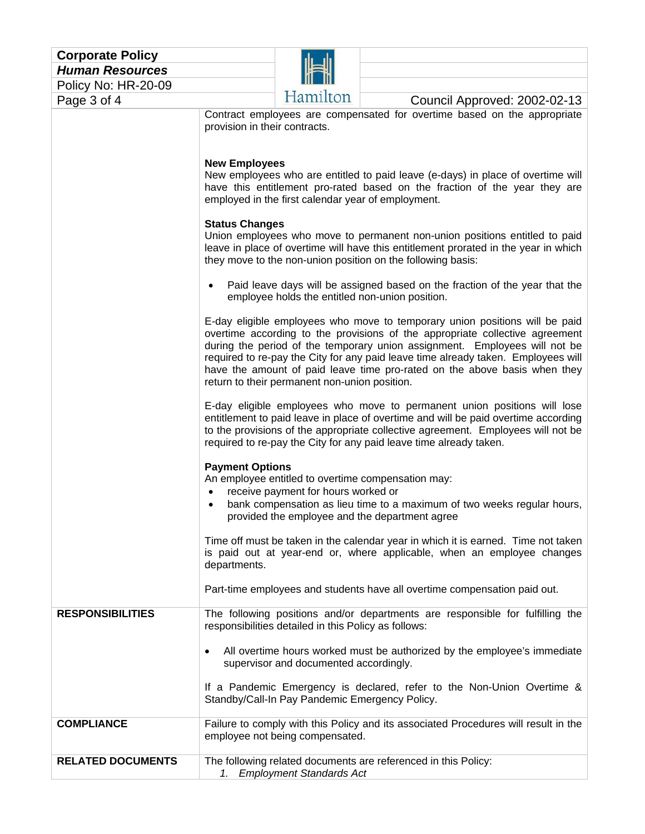| <b>Corporate Policy</b><br><b>Human Resources</b> |                                                                                                                                       |                                                                                                                                            |                                                                                                                                                                                                                                                                                                                                                                                                                                                                                                                                                                                                                                                                                                                                                                                                                                                                                                                                                                                                                                                                                                                                                                                                                                                                                                                                                                                                                                                                                                                                                                                                                                                                                                              |  |  |
|---------------------------------------------------|---------------------------------------------------------------------------------------------------------------------------------------|--------------------------------------------------------------------------------------------------------------------------------------------|--------------------------------------------------------------------------------------------------------------------------------------------------------------------------------------------------------------------------------------------------------------------------------------------------------------------------------------------------------------------------------------------------------------------------------------------------------------------------------------------------------------------------------------------------------------------------------------------------------------------------------------------------------------------------------------------------------------------------------------------------------------------------------------------------------------------------------------------------------------------------------------------------------------------------------------------------------------------------------------------------------------------------------------------------------------------------------------------------------------------------------------------------------------------------------------------------------------------------------------------------------------------------------------------------------------------------------------------------------------------------------------------------------------------------------------------------------------------------------------------------------------------------------------------------------------------------------------------------------------------------------------------------------------------------------------------------------------|--|--|
| Policy No: HR-20-09                               |                                                                                                                                       |                                                                                                                                            |                                                                                                                                                                                                                                                                                                                                                                                                                                                                                                                                                                                                                                                                                                                                                                                                                                                                                                                                                                                                                                                                                                                                                                                                                                                                                                                                                                                                                                                                                                                                                                                                                                                                                                              |  |  |
| Page 3 of 4                                       |                                                                                                                                       | Hamilton                                                                                                                                   | Council Approved: 2002-02-13                                                                                                                                                                                                                                                                                                                                                                                                                                                                                                                                                                                                                                                                                                                                                                                                                                                                                                                                                                                                                                                                                                                                                                                                                                                                                                                                                                                                                                                                                                                                                                                                                                                                                 |  |  |
|                                                   | provision in their contracts.<br><b>New Employees</b><br><b>Status Changes</b><br>$\bullet$<br><b>Payment Options</b><br>departments. | employed in the first calendar year of employment.<br>return to their permanent non-union position.<br>receive payment for hours worked or | Contract employees are compensated for overtime based on the appropriate<br>New employees who are entitled to paid leave (e-days) in place of overtime will<br>have this entitlement pro-rated based on the fraction of the year they are<br>Union employees who move to permanent non-union positions entitled to paid<br>leave in place of overtime will have this entitlement prorated in the year in which<br>they move to the non-union position on the following basis:<br>Paid leave days will be assigned based on the fraction of the year that the<br>employee holds the entitled non-union position.<br>E-day eligible employees who move to temporary union positions will be paid<br>overtime according to the provisions of the appropriate collective agreement<br>during the period of the temporary union assignment. Employees will not be<br>required to re-pay the City for any paid leave time already taken. Employees will<br>have the amount of paid leave time pro-rated on the above basis when they<br>E-day eligible employees who move to permanent union positions will lose<br>entitlement to paid leave in place of overtime and will be paid overtime according<br>to the provisions of the appropriate collective agreement. Employees will not be<br>required to re-pay the City for any paid leave time already taken.<br>An employee entitled to overtime compensation may:<br>bank compensation as lieu time to a maximum of two weeks regular hours,<br>provided the employee and the department agree<br>Time off must be taken in the calendar year in which it is earned. Time not taken<br>is paid out at year-end or, where applicable, when an employee changes |  |  |
|                                                   |                                                                                                                                       |                                                                                                                                            | Part-time employees and students have all overtime compensation paid out.                                                                                                                                                                                                                                                                                                                                                                                                                                                                                                                                                                                                                                                                                                                                                                                                                                                                                                                                                                                                                                                                                                                                                                                                                                                                                                                                                                                                                                                                                                                                                                                                                                    |  |  |
| <b>RESPONSIBILITIES</b>                           |                                                                                                                                       | responsibilities detailed in this Policy as follows:                                                                                       | The following positions and/or departments are responsible for fulfilling the                                                                                                                                                                                                                                                                                                                                                                                                                                                                                                                                                                                                                                                                                                                                                                                                                                                                                                                                                                                                                                                                                                                                                                                                                                                                                                                                                                                                                                                                                                                                                                                                                                |  |  |
|                                                   | $\bullet$                                                                                                                             | supervisor and documented accordingly.                                                                                                     | All overtime hours worked must be authorized by the employee's immediate<br>If a Pandemic Emergency is declared, refer to the Non-Union Overtime &                                                                                                                                                                                                                                                                                                                                                                                                                                                                                                                                                                                                                                                                                                                                                                                                                                                                                                                                                                                                                                                                                                                                                                                                                                                                                                                                                                                                                                                                                                                                                           |  |  |
|                                                   |                                                                                                                                       | Standby/Call-In Pay Pandemic Emergency Policy.                                                                                             |                                                                                                                                                                                                                                                                                                                                                                                                                                                                                                                                                                                                                                                                                                                                                                                                                                                                                                                                                                                                                                                                                                                                                                                                                                                                                                                                                                                                                                                                                                                                                                                                                                                                                                              |  |  |
| <b>COMPLIANCE</b>                                 |                                                                                                                                       | Failure to comply with this Policy and its associated Procedures will result in the<br>employee not being compensated.                     |                                                                                                                                                                                                                                                                                                                                                                                                                                                                                                                                                                                                                                                                                                                                                                                                                                                                                                                                                                                                                                                                                                                                                                                                                                                                                                                                                                                                                                                                                                                                                                                                                                                                                                              |  |  |
| <b>RELATED DOCUMENTS</b>                          |                                                                                                                                       | The following related documents are referenced in this Policy:<br>1. Employment Standards Act                                              |                                                                                                                                                                                                                                                                                                                                                                                                                                                                                                                                                                                                                                                                                                                                                                                                                                                                                                                                                                                                                                                                                                                                                                                                                                                                                                                                                                                                                                                                                                                                                                                                                                                                                                              |  |  |